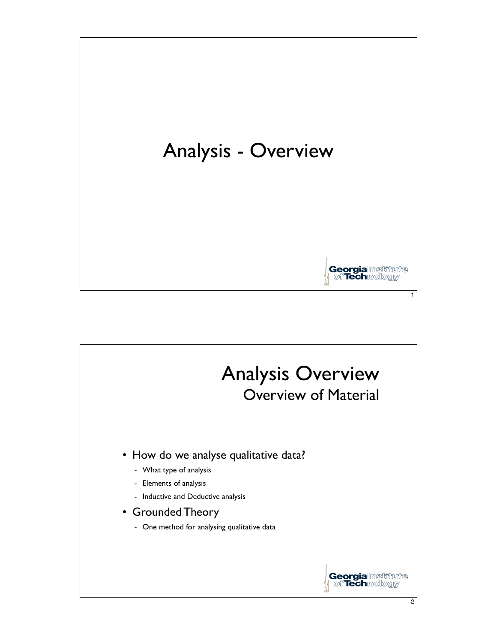

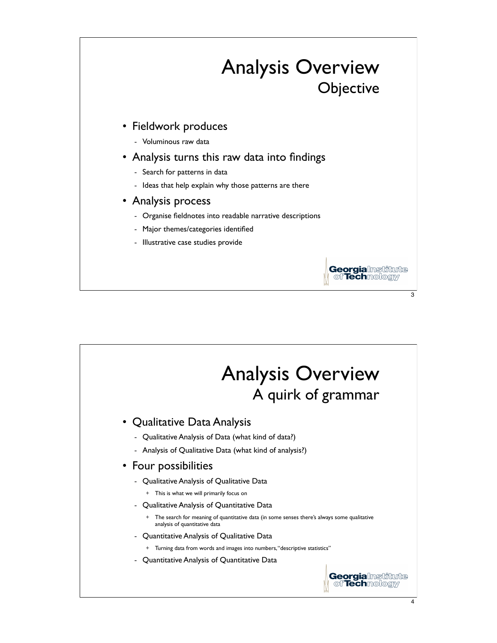

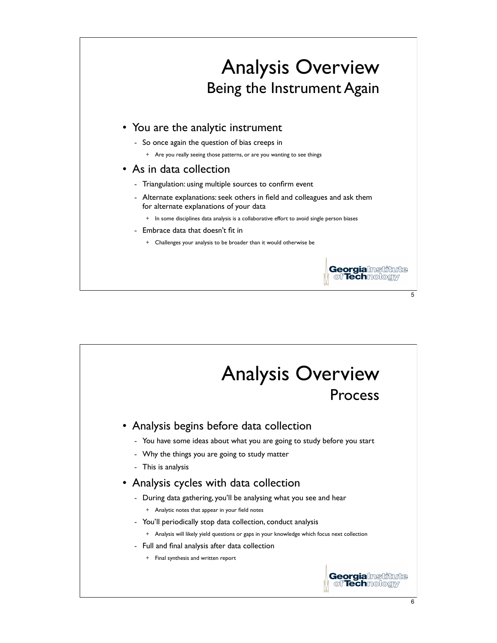

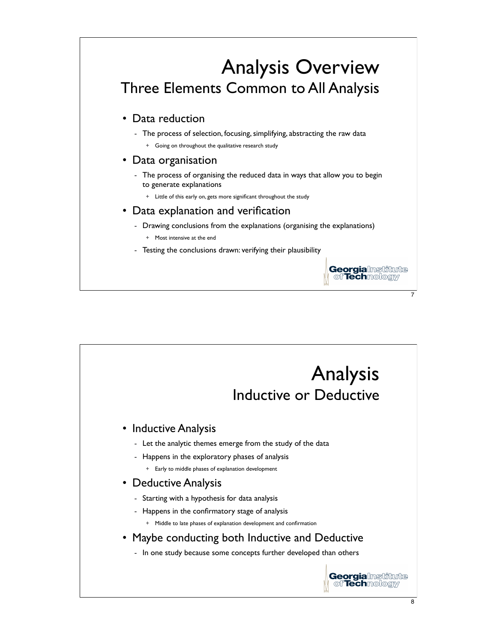

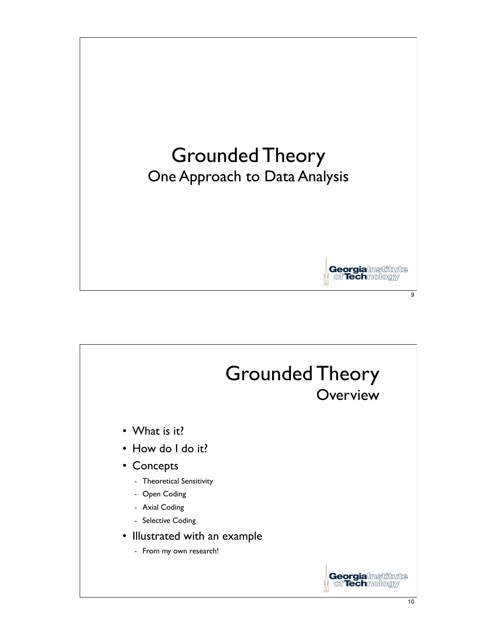

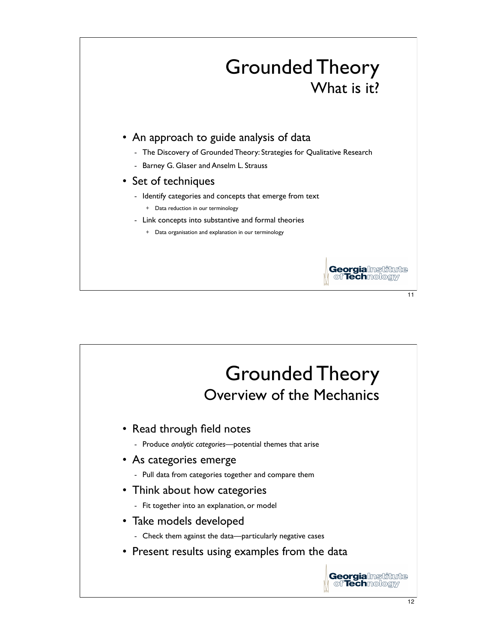

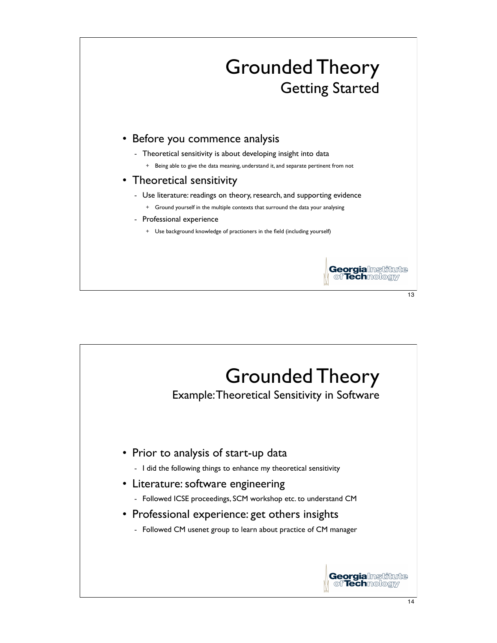

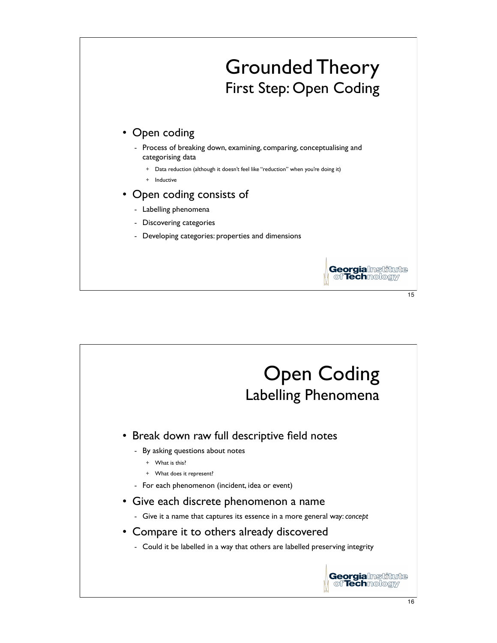

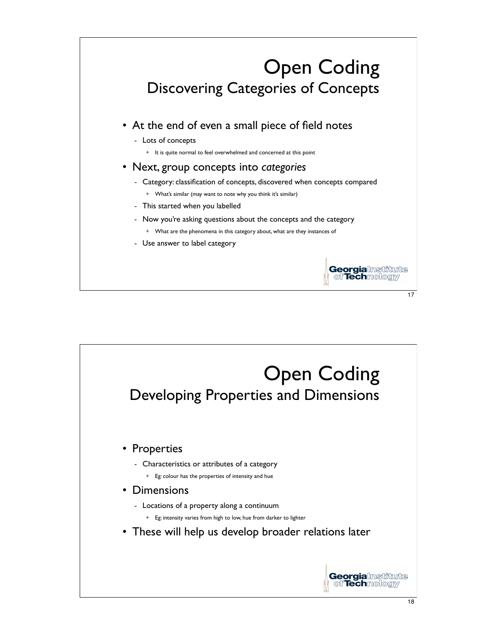

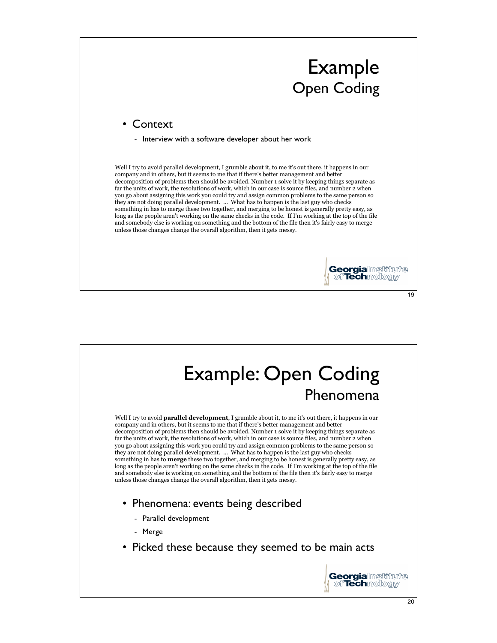

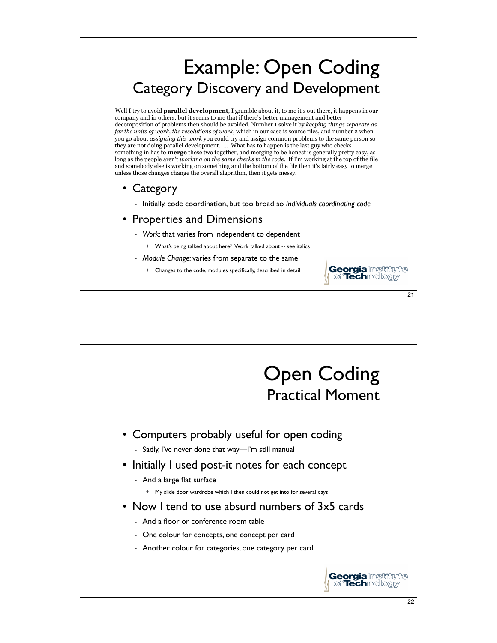## Example: Open Coding Category Discovery and Development

Well I try to avoid **parallel development**, I grumble about it, to me it's out there, it happens in our company and in others, but it seems to me that if there's better management and better decomposition of problems then should be avoided. Number 1 solve it by *keeping things separate as far the units of work, the resolutions of work*, which in our case is source files, and number 2 when you go about *assigning this work* you could try and assign common problems to the same person so they are not doing parallel development. ... What has to happen is the last guy who checks something in has to **merge** these two together, and merging to be honest is generally pretty easy, as long as the people aren't *working on the same checks in the code*. If I'm working at the top of the file and somebody else is working on something and the bottom of the file then it's fairly easy to merge unless those changes change the overall algorithm, then it gets messy.

- Category
	- Initially, code coordination, but too broad so *Individuals coordinating code*

## • Properties and Dimensions

- *Work*: that varies from independent to dependent
	- + What's being talked about here? Work talked about -- see italics
- *Module Change*: varies from separate to the same
	- + Changes to the code, modules specifically, described in detail



21

**Georgialnstitute** of **Tech**mology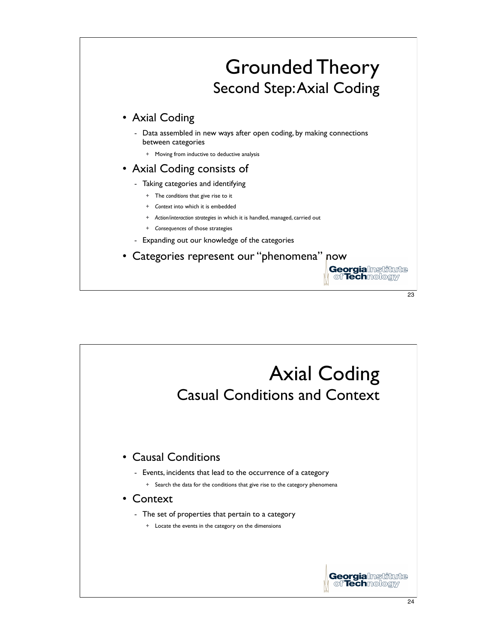

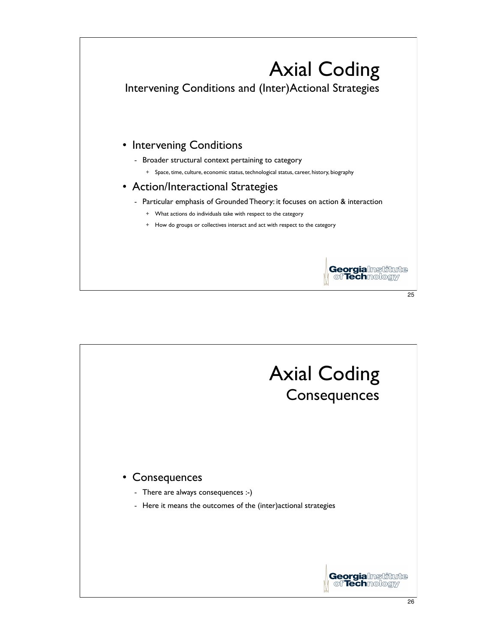

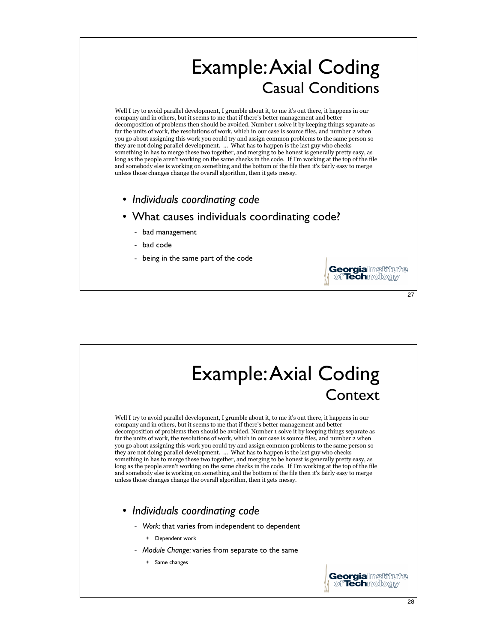## Example:Axial Coding Casual Conditions

Well I try to avoid parallel development, I grumble about it, to me it's out there, it happens in our company and in others, but it seems to me that if there's better management and better decomposition of problems then should be avoided. Number 1 solve it by keeping things separate as far the units of work, the resolutions of work, which in our case is source files, and number 2 when you go about assigning this work you could try and assign common problems to the same person so they are not doing parallel development. ... What has to happen is the last guy who checks something in has to merge these two together, and merging to be honest is generally pretty easy, as long as the people aren't working on the same checks in the code. If I'm working at the top of the file and somebody else is working on something and the bottom of the file then it's fairly easy to merge unless those changes change the overall algorithm, then it gets messy.

- *Individuals coordinating code*
- What causes individuals coordinating code?
	- bad management
	- bad code
	- being in the same part of the code



27

**Georgialnstitute** of **Tech**mologiy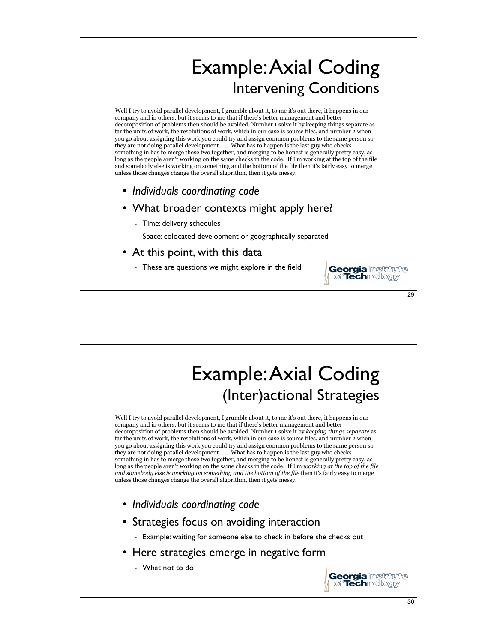## Example:Axial Coding Intervening Conditions

Well I try to avoid parallel development, I grumble about it, to me it's out there, it happens in our company and in others, but it seems to me that if there's better management and better decomposition of problems then should be avoided. Number 1 solve it by keeping things separate as far the units of work, the resolutions of work, which in our case is source files, and number 2 when you go about assigning this work you could try and assign common problems to the same person so they are not doing parallel development. ... What has to happen is the last guy who checks something in has to merge these two together, and merging to be honest is generally pretty easy, as long as the people aren't working on the same checks in the code. If I'm working at the top of the file and somebody else is working on something and the bottom of the file then it's fairly easy to merge unless those changes change the overall algorithm, then it gets messy.

- *Individuals coordinating code*
- What broader contexts might apply here?
	- Time: delivery schedules
	- Space: colocated development or geographically separated
- At this point, with this data
	- These are questions we might explore in the field



**Georgialnstitute** of **Tech**mologiy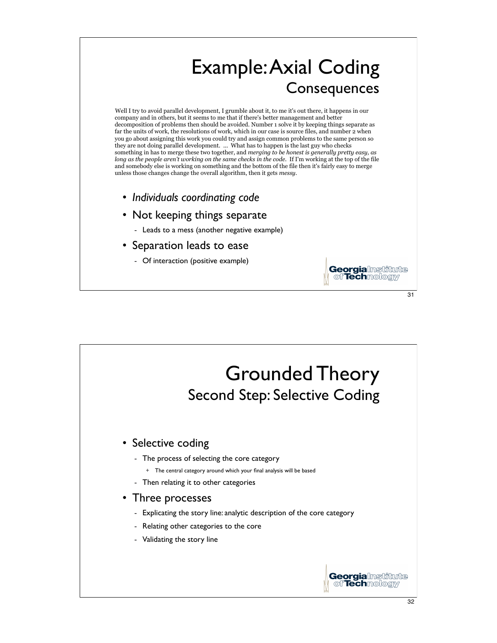

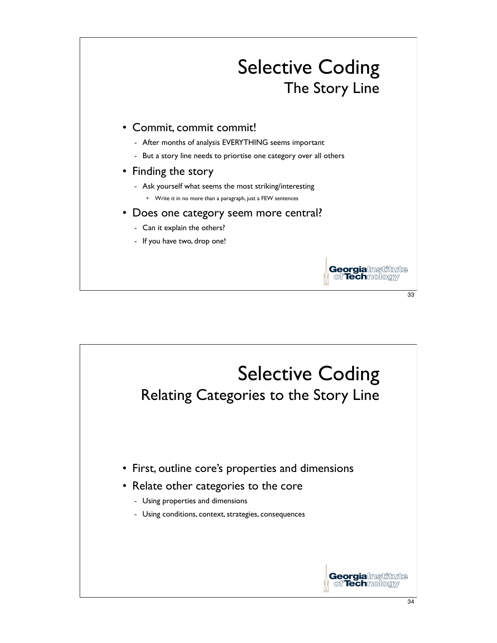

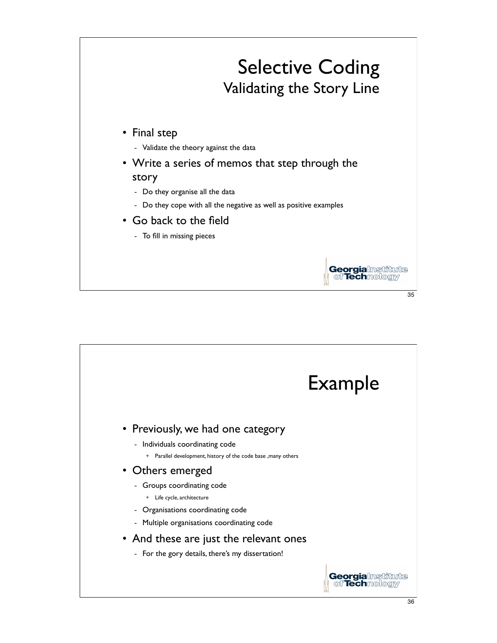

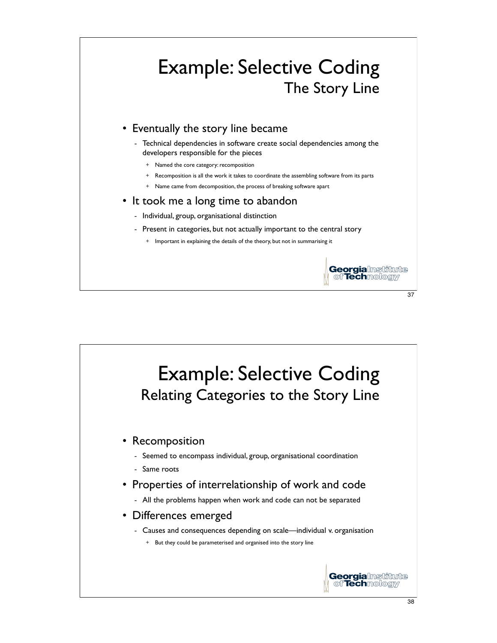

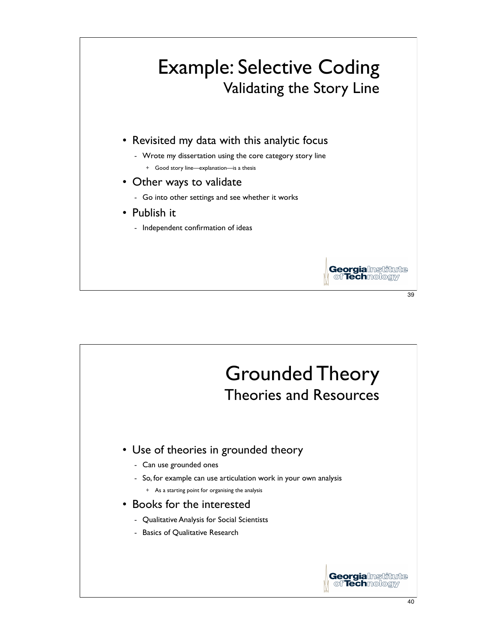